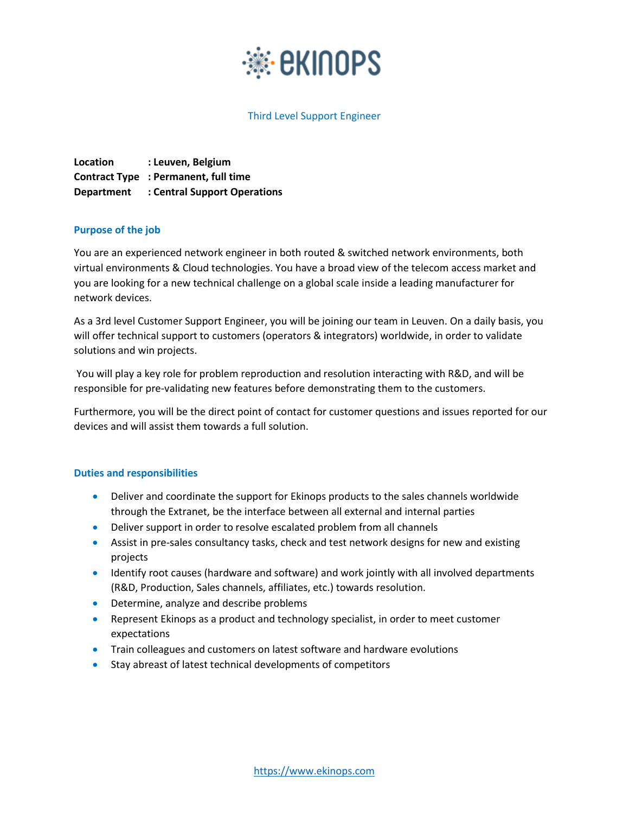

# Third Level Support Engineer

**Location : Leuven, Belgium Contract Type : Permanent, full time Department : Central Support Operations**

#### **Purpose of the job**

You are an experienced network engineer in both routed & switched network environments, both virtual environments & Cloud technologies. You have a broad view of the telecom access market and you are looking for a new technical challenge on a global scale inside a leading manufacturer for network devices.

As a 3rd level Customer Support Engineer, you will be joining our team in Leuven. On a daily basis, you will offer technical support to customers (operators & integrators) worldwide, in order to validate solutions and win projects.

You will play a key role for problem reproduction and resolution interacting with R&D, and will be responsible for pre-validating new features before demonstrating them to the customers.

Furthermore, you will be the direct point of contact for customer questions and issues reported for our devices and will assist them towards a full solution.

#### **Duties and responsibilities**

- Deliver and coordinate the support for Ekinops products to the sales channels worldwide through the Extranet, be the interface between all external and internal parties
- Deliver support in order to resolve escalated problem from all channels
- Assist in pre-sales consultancy tasks, check and test network designs for new and existing projects
- Identify root causes (hardware and software) and work jointly with all involved departments (R&D, Production, Sales channels, affiliates, etc.) towards resolution.
- **•** Determine, analyze and describe problems
- Represent Ekinops as a product and technology specialist, in order to meet customer expectations
- **•** Train colleagues and customers on latest software and hardware evolutions
- Stay abreast of latest technical developments of competitors